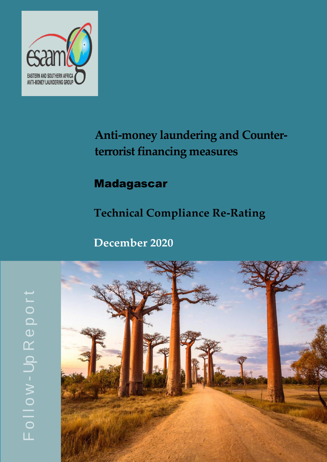

# **Anti-money laundering and Counter**terrorist financing measures

# Madagascar

**Technical Compliance Re-Rating**

 **December 2020**



LL.  $\frac{1}{\circ}$  $\bm{\gtrless}$ Up R  $\bf \Phi$  $\mathbf O$ o $\overline{\phantom{0}}$  $\div$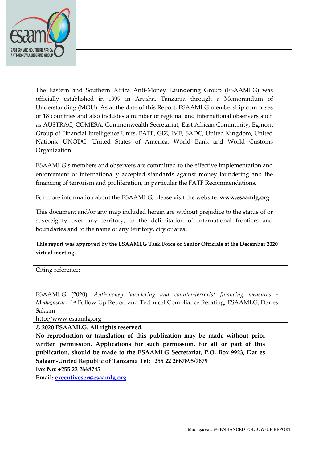

The Eastern and Southern Africa Anti-Money Laundering Group (ESAAMLG) was officially established in 1999 in Arusha, Tanzania through a Memorandum of Understanding (MOU). As at the date of this Report, ESAAMLG membership comprises of 18 countries and also includes a number of regional and international observers such as AUSTRAC, COMESA, Commonwealth Secretariat, East African Community, Egmont Group of Financial Intelligence Units, FATF, GIZ, IMF, SADC, United Kingdom, United Nations, UNODC, United States of America, World Bank and World Customs Organization.

ESAAMLG's members and observers are committed to the effective implementation and enforcement of internationally accepted standards against money laundering and the financing of terrorism and proliferation, in particular the FATF Recommendations.

For more information about the ESAAMLG, please visit the website: **[www.esaamlg.org](http://www.esaamlg.org/)**

This document and/or any map included herein are without prejudice to the status of or sovereignty over any territory, to the delimitation of international frontiers and boundaries and to the name of any territory, city or area.

**This report was approved by the ESAAMLG Task Force of Senior Officials at the December 2020 virtual meeting.**

Citing reference:

ESAAMLG (2020), *Anti-money laundering and counter-terrorist financing measures - Madagascar,* 1 st Follow Up Report and Technical Compliance Rerating, ESAAMLG, Dar es Salaam

[http://www.esaamlg.org](http://www.esaamlg.org/)

**© 2020 ESAAMLG. All rights reserved.**

**No reproduction or translation of this publication may be made without prior written permission. Applications for such permission, for all or part of this publication, should be made to the ESAAMLG Secretariat, P.O. Box 9923, Dar es Salaam-United Republic of Tanzania Tel: +255 22 2667895/7679**

**Fax No: +255 22 2668745**

**Email: [executivesec@esaamlg.org](mailto:executivesec@esaamlg.org)**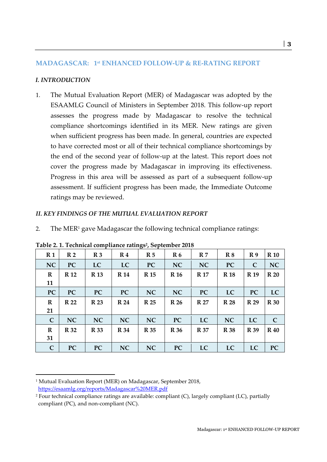# **MADAGASCAR: 1st ENHANCED FOLLOW-UP & RE-RATING REPORT**

# *I. INTRODUCTION*

1. The Mutual Evaluation Report (MER) of Madagascar was adopted by the ESAAMLG Council of Ministers in September 2018. This follow-up report assesses the progress made by Madagascar to resolve the technical compliance shortcomings identified in its MER. New ratings are given when sufficient progress has been made. In general, countries are expected to have corrected most or all of their technical compliance shortcomings by the end of the second year of follow-up at the latest. This report does not cover the progress made by Madagascar in improving its effectiveness. Progress in this area will be assessed as part of a subsequent follow-up assessment. If sufficient progress has been made, the Immediate Outcome ratings may be reviewed.

#### *II. KEY FINDINGS OF THE MUTUAL EVALUATION REPORT*

2. The MER<sup>1</sup> gave Madagascar the following technical compliance ratings:

| R <sub>1</sub>    | R <sub>2</sub> | R <sub>3</sub> | R <sub>4</sub> | R <sub>5</sub> | R <sub>6</sub> | R <sub>7</sub> | R8          | R <sub>9</sub> | <b>R</b> 10  |
|-------------------|----------------|----------------|----------------|----------------|----------------|----------------|-------------|----------------|--------------|
| <b>NC</b>         | <b>PC</b>      | <b>LC</b>      | LC             | <b>PC</b>      | NC             | <b>NC</b>      | <b>PC</b>   | $\mathbf C$    | NC           |
| $\mathbf R$<br>11 | <b>R</b> 12    | <b>R</b> 13    | <b>R</b> 14    | <b>R</b> 15    | <b>R</b> 16    | <b>R</b> 17    | <b>R</b> 18 | <b>R</b> 19    | <b>R</b> 20  |
| <b>PC</b>         | PC             | <b>PC</b>      | PC             | <b>NC</b>      | NC             | <b>PC</b>      | LC          | <b>PC</b>      | LC           |
| $\mathbf R$<br>21 | <b>R</b> 22    | <b>R</b> 23    | <b>R</b> 24    | R 25           | R 26           | <b>R</b> 27    | <b>R</b> 28 | R 29           | <b>R</b> 30  |
| $\mathsf{C}$      | <b>NC</b>      | <b>NC</b>      | NC             | NC             | <b>PC</b>      | LC             | <b>NC</b>   | LC             | $\mathsf{C}$ |
| $\mathbf R$<br>31 | <b>R</b> 32    | <b>R</b> 33    | <b>R</b> 34    | <b>R</b> 35    | R 36           | <b>R</b> 37    | <b>R</b> 38 | <b>R</b> 39    | <b>R</b> 40  |
| $\mathbf C$       | PC             | <b>PC</b>      | NC             | NC             | <b>PC</b>      | LC             | LC          | LC             | <b>PC</b>    |

**Table 2. 1. Technical compliance ratings<sup>2</sup> , September 2018** 

<sup>1</sup> Mutual Evaluation Report (MER) on Madagascar, September 2018, <https://esaamlg.org/reports/Madagascar%20MER.pdf>

<sup>2</sup> Four technical compliance ratings are available: compliant (C), largely compliant (LC), partially compliant (PC), and non-compliant (NC).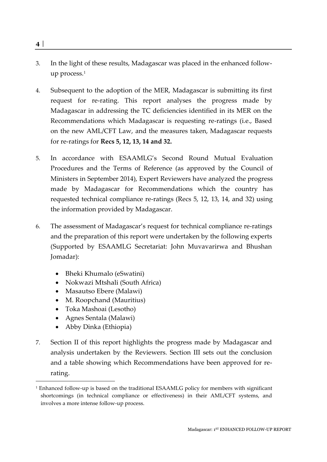- 3. In the light of these results, Madagascar was placed in the enhanced followup process. $1$
- 4. Subsequent to the adoption of the MER, Madagascar is submitting its first request for re-rating. This report analyses the progress made by Madagascar in addressing the TC deficiencies identified in its MER on the Recommendations which Madagascar is requesting re-ratings (i.e., Based on the new AML/CFT Law, and the measures taken, Madagascar requests for re-ratings for **Recs 5, 12, 13, 14 and 32.**
- 5. In accordance with ESAAMLG's Second Round Mutual Evaluation Procedures and the Terms of Reference (as approved by the Council of Ministers in September 2014), Expert Reviewers have analyzed the progress made by Madagascar for Recommendations which the country has requested technical compliance re-ratings (Recs 5, 12, 13, 14, and 32) using the information provided by Madagascar.
- 6. The assessment of Madagascar's request for technical compliance re-ratings and the preparation of this report were undertaken by the following experts (Supported by ESAAMLG Secretariat: John Muvavarirwa and Bhushan Jomadar):
	- Bheki Khumalo (eSwatini)
	- Nokwazi Mtshali (South Africa)
	- Masautso Ebere (Malawi)
	- M. Roopchand (Mauritius)
	- Toka Mashoai (Lesotho)
	- Agnes Sentala (Malawi)
	- Abby Dinka (Ethiopia)
- 7. Section II of this report highlights the progress made by Madagascar and analysis undertaken by the Reviewers. Section III sets out the conclusion and a table showing which Recommendations have been approved for rerating.

<sup>&</sup>lt;sup>1</sup> Enhanced follow-up is based on the traditional ESAAMLG policy for members with significant shortcomings (in technical compliance or effectiveness) in their AML/CFT systems, and involves a more intense follow-up process.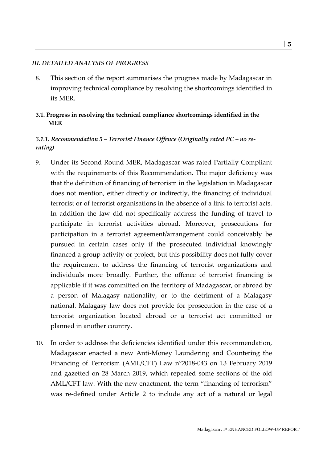#### *III. DETAILED ANALYSIS OF PROGRESS*

- 8. This section of the report summarises the progress made by Madagascar in improving technical compliance by resolving the shortcomings identified in its MER.
- **3.1. Progress in resolving the technical compliance shortcomings identified in the MER**

# *3.1.1. Recommendation 5 – Terrorist Finance Offence (Originally rated PC – no rerating)*

- 9. Under its Second Round MER, Madagascar was rated Partially Compliant with the requirements of this Recommendation. The major deficiency was that the definition of financing of terrorism in the legislation in Madagascar does not mention, either directly or indirectly, the financing of individual terrorist or of terrorist organisations in the absence of a link to terrorist acts. In addition the law did not specifically address the funding of travel to participate in terrorist activities abroad. Moreover, prosecutions for participation in a terrorist agreement/arrangement could conceivably be pursued in certain cases only if the prosecuted individual knowingly financed a group activity or project, but this possibility does not fully cover the requirement to address the financing of terrorist organizations and individuals more broadly. Further, the offence of terrorist financing is applicable if it was committed on the territory of Madagascar, or abroad by a person of Malagasy nationality, or to the detriment of a Malagasy national. Malagasy law does not provide for prosecution in the case of a terrorist organization located abroad or a terrorist act committed or planned in another country.
- 10. In order to address the deficiencies identified under this recommendation, Madagascar enacted a new Anti-Money Laundering and Countering the Financing of Terrorism (AML/CFT) Law n°2018-043 on 13 February 2019 and gazetted on 28 March 2019, which repealed some sections of the old AML/CFT law. With the new enactment, the term "financing of terrorism" was re-defined under Article 2 to include any act of a natural or legal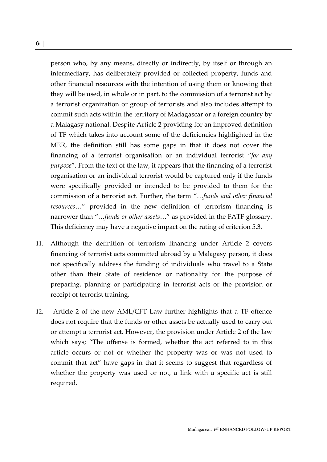person who, by any means, directly or indirectly, by itself or through an intermediary, has deliberately provided or collected property, funds and other financial resources with the intention of using them or knowing that they will be used, in whole or in part, to the commission of a terrorist act by a terrorist organization or group of terrorists and also includes attempt to commit such acts within the territory of Madagascar or a foreign country by a Malagasy national. Despite Article 2 providing for an improved definition of TF which takes into account some of the deficiencies highlighted in the MER, the definition still has some gaps in that it does not cover the financing of a terrorist organisation or an individual terrorist "*for any purpose*". From the text of the law, it appears that the financing of a terrorist organisation or an individual terrorist would be captured only if the funds were specifically provided or intended to be provided to them for the commission of a terrorist act. Further, the term "…*funds and other financial resources*…" provided in the new definition of terrorism financing is narrower than "…*funds or other assets*…" as provided in the FATF glossary. This deficiency may have a negative impact on the rating of criterion 5.3.

- 11. Although the definition of terrorism financing under Article 2 covers financing of terrorist acts committed abroad by a Malagasy person, it does not specifically address the funding of individuals who travel to a State other than their State of residence or nationality for the purpose of preparing, planning or participating in terrorist acts or the provision or receipt of terrorist training.
- 12. Article 2 of the new AML/CFT Law further highlights that a TF offence does not require that the funds or other assets be actually used to carry out or attempt a terrorist act. However, the provision under Article 2 of the law which says; "The offense is formed, whether the act referred to in this article occurs or not or whether the property was or was not used to commit that act" have gaps in that it seems to suggest that regardless of whether the property was used or not, a link with a specific act is still required.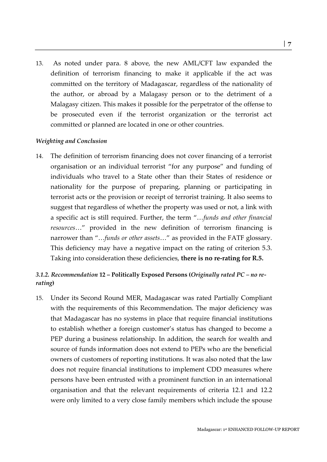13. As noted under para. 8 above, the new AML/CFT law expanded the definition of terrorism financing to make it applicable if the act was committed on the territory of Madagascar, regardless of the nationality of the author, or abroad by a Malagasy person or to the detriment of a Malagasy citizen. This makes it possible for the perpetrator of the offense to be prosecuted even if the terrorist organization or the terrorist act committed or planned are located in one or other countries.

#### *Weighting and Conclusion*

14. The definition of terrorism financing does not cover financing of a terrorist organisation or an individual terrorist "for any purpose" and funding of individuals who travel to a State other than their States of residence or nationality for the purpose of preparing, planning or participating in terrorist acts or the provision or receipt of terrorist training. It also seems to suggest that regardless of whether the property was used or not, a link with a specific act is still required. Further, the term "…*funds and other financial resources*…" provided in the new definition of terrorism financing is narrower than "…*funds or other assets*…" as provided in the FATF glossary. This deficiency may have a negative impact on the rating of criterion 5.3. Taking into consideration these deficiencies, **there is no re-rating for R.5.**

# *3.1.2. Recommendation* **12 – Politically Exposed Persons (***Originally rated PC – no rerating***)**

15. Under its Second Round MER, Madagascar was rated Partially Compliant with the requirements of this Recommendation. The major deficiency was that Madagascar has no systems in place that require financial institutions to establish whether a foreign customer's status has changed to become a PEP during a business relationship. In addition, the search for wealth and source of funds information does not extend to PEPs who are the beneficial owners of customers of reporting institutions. It was also noted that the law does not require financial institutions to implement CDD measures where persons have been entrusted with a prominent function in an international organisation and that the relevant requirements of criteria 12.1 and 12.2 were only limited to a very close family members which include the spouse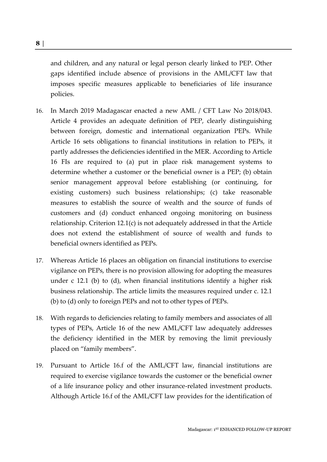and children, and any natural or legal person clearly linked to PEP. Other gaps identified include absence of provisions in the AML/CFT law that imposes specific measures applicable to beneficiaries of life insurance policies.

- 16. In March 2019 Madagascar enacted a new AML / CFT Law No 2018/043. Article 4 provides an adequate definition of PEP, clearly distinguishing between foreign, domestic and international organization PEPs. While Article 16 sets obligations to financial institutions in relation to PEPs, it partly addresses the deficiencies identified in the MER. According to Article 16 FIs are required to (a) put in place risk management systems to determine whether a customer or the beneficial owner is a PEP; (b) obtain senior management approval before establishing (or continuing, for existing customers) such business relationships; (c) take reasonable measures to establish the source of wealth and the source of funds of customers and (d) conduct enhanced ongoing monitoring on business relationship. Criterion 12.1(c) is not adequately addressed in that the Article does not extend the establishment of source of wealth and funds to beneficial owners identified as PEPs.
- 17. Whereas Article 16 places an obligation on financial institutions to exercise vigilance on PEPs, there is no provision allowing for adopting the measures under c 12.1 (b) to (d), when financial institutions identify a higher risk business relationship. The article limits the measures required under c. 12.1 (b) to (d) only to foreign PEPs and not to other types of PEPs.
- 18. With regards to deficiencies relating to family members and associates of all types of PEPs, Article 16 of the new AML/CFT law adequately addresses the deficiency identified in the MER by removing the limit previously placed on "family members".
- 19. Pursuant to Article 16.f of the AML/CFT law, financial institutions are required to exercise vigilance towards the customer or the beneficial owner of a life insurance policy and other insurance-related investment products. Although Article 16.f of the AML/CFT law provides for the identification of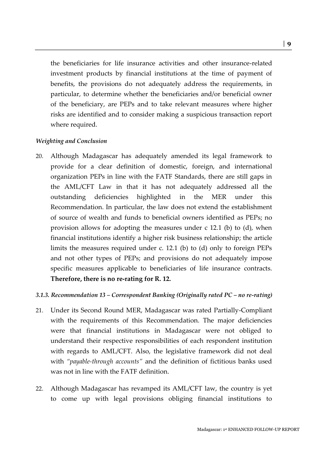the beneficiaries for life insurance activities and other insurance-related investment products by financial institutions at the time of payment of benefits, the provisions do not adequately address the requirements, in particular, to determine whether the beneficiaries and/or beneficial owner of the beneficiary, are PEPs and to take relevant measures where higher risks are identified and to consider making a suspicious transaction report where required.

#### *Weighting and Conclusion*

20. Although Madagascar has adequately amended its legal framework to provide for a clear definition of domestic, foreign, and international organization PEPs in line with the FATF Standards, there are still gaps in the AML/CFT Law in that it has not adequately addressed all the outstanding deficiencies highlighted in the MER under this Recommendation. In particular, the law does not extend the establishment of source of wealth and funds to beneficial owners identified as PEPs; no provision allows for adopting the measures under c 12.1 (b) to (d), when financial institutions identify a higher risk business relationship; the article limits the measures required under c. 12.1 (b) to (d) only to foreign PEPs and not other types of PEPs; and provisions do not adequately impose specific measures applicable to beneficiaries of life insurance contracts. **Therefore, there is no re-rating for R. 12.** 

#### *3.1.3. Recommendation 13 – Correspondent Banking (Originally rated PC – no re-rating)*

- 21. Under its Second Round MER, Madagascar was rated Partially-Compliant with the requirements of this Recommendation. The major deficiencies were that financial institutions in Madagascar were not obliged to understand their respective responsibilities of each respondent institution with regards to AML/CFT. Also, the legislative framework did not deal with *"payable-through accounts"* and the definition of fictitious banks used was not in line with the FATF definition.
- 22. Although Madagascar has revamped its AML/CFT law, the country is yet to come up with legal provisions obliging financial institutions to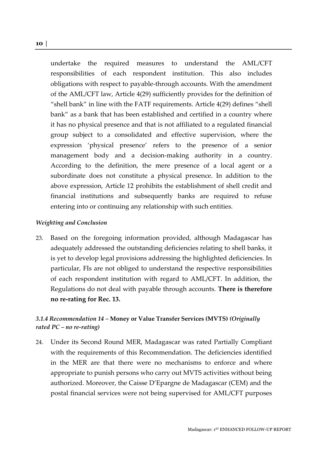undertake the required measures to understand the AML/CFT responsibilities of each respondent institution. This also includes obligations with respect to payable-through accounts. With the amendment of the AML/CFT law, Article 4(29) sufficiently provides for the definition of "shell bank" in line with the FATF requirements. Article 4(29) defines "shell bank" as a bank that has been established and certified in a country where it has no physical presence and that is not affiliated to a regulated financial group subject to a consolidated and effective supervision, where the expression 'physical presence' refers to the presence of a senior management body and a decision-making authority in a country. According to the definition, the mere presence of a local agent or a subordinate does not constitute a physical presence. In addition to the above expression, Article 12 prohibits the establishment of shell credit and financial institutions and subsequently banks are required to refuse entering into or continuing any relationship with such entities.

#### *Weighting and Conclusion*

23. Based on the foregoing information provided, although Madagascar has adequately addressed the outstanding deficiencies relating to shell banks, it is yet to develop legal provisions addressing the highlighted deficiencies. In particular, FIs are not obliged to understand the respective responsibilities of each respondent institution with regard to AML/CFT. In addition, the Regulations do not deal with payable through accounts. **There is therefore no re-rating for Rec. 13.**

# *3.1.4 Recommendation 14 –* **Money or Value Transfer Services (MVTS)** *(Originally rated PC – no re-rating)*

24. Under its Second Round MER, Madagascar was rated Partially Compliant with the requirements of this Recommendation. The deficiencies identified in the MER are that there were no mechanisms to enforce and where appropriate to punish persons who carry out MVTS activities without being authorized. Moreover, the Caisse D'Epargne de Madagascar (CEM) and the postal financial services were not being supervised for AML/CFT purposes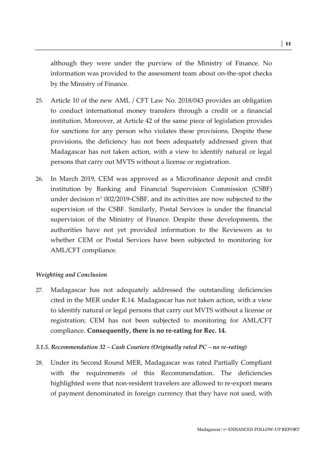although they were under the purview of the Ministry of Finance. No information was provided to the assessment team about on-the-spot checks by the Ministry of Finance.

- 25. Article 10 of the new AML / CFT Law No. 2018/043 provides an obligation to conduct international money transfers through a credit or a financial institution. Moreover, at Article 42 of the same piece of legislation provides for sanctions for any person who violates these provisions. Despite these provisions, the deficiency has not been adequately addressed given that Madagascar has not taken action, with a view to identify natural or legal persons that carry out MVTS without a license or registration.
- 26. In March 2019, CEM was approved as a Microfinance deposit and credit institution by Banking and Financial Supervision Commission (CSBF) under decision n° 002/2019-CSBF, and its activities are now subjected to the supervision of the CSBF. Similarly, Postal Services is under the financial supervision of the Ministry of Finance. Despite these developments, the authorities have not yet provided information to the Reviewers as to whether CEM or Postal Services have been subjected to monitoring for AML/CFT compliance.

#### *Weighting and Conclusion*

27. Madagascar has not adequately addressed the outstanding deficiencies cited in the MER under R.14. Madagascar has not taken action, with a view to identify natural or legal persons that carry out MVTS without a license or registration; CEM has not been subjected to monitoring for AML/CFT compliance. **Consequently, there is no re-rating for Rec. 14.**

#### *3.1.5. Recommendation 32 – Cash Couriers (Originally rated PC – no re-rating)*

28. Under its Second Round MER, Madagascar was rated Partially Compliant with the requirements of this Recommendation. The deficiencies highlighted were that non-resident travelers are allowed to re-export means of payment denominated in foreign currency that they have not used, with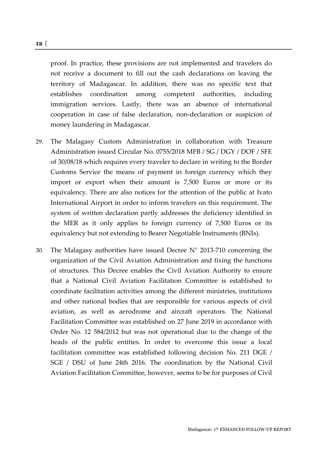proof. In practice, these provisions are not implemented and travelers do not receive a document to fill out the cash declarations on leaving the territory of Madagascar. In addition, there was no specific text that establishes coordination among competent authorities, including immigration services. Lastly, there was an absence of international cooperation in case of false declaration, non-declaration or suspicion of money laundering in Madagascar.

- 29. The Malagasy Custom Administration in collaboration with Treasure Administration issued Circular No. 0755/2018 MFB / SG / DGY / DOF / SFE of 30/08/18 which requires every traveler to declare in writing to the Border Customs Service the means of payment in foreign currency which they import or export when their amount is 7,500 Euros or more or its equivalency. There are also notices for the attention of the public at Ivato International Airport in order to inform travelers on this requirement. The system of written declaration partly addresses the deficiency identified in the MER as it only applies to foreign currency of 7,500 Euros or its equivalency but not extending to Bearer Negotiable Instruments (BNIs).
- 30. The Malagasy authorities have issued Decree  $N^{\circ}$  2013-710 concerning the organization of the Civil Aviation Administration and fixing the functions of structures. This Decree enables the Civil Aviation Authority to ensure that a National Civil Aviation Facilitation Committee is established to coordinate facilitation activities among the different ministries, institutions and other national bodies that are responsible for various aspects of civil aviation, as well as aerodrome and aircraft operators. The National Facilitation Committee was established on 27 June 2019 in accordance with Order No. 12 584/2012 but was not operational due to the change of the heads of the public entities. In order to overcome this issue a local facilitation committee was established following decision No. 211 DGE / SGE / DSU of June 24th 2016. The coordination by the National Civil Aviation Facilitation Committee, however, seems to be for purposes of Civil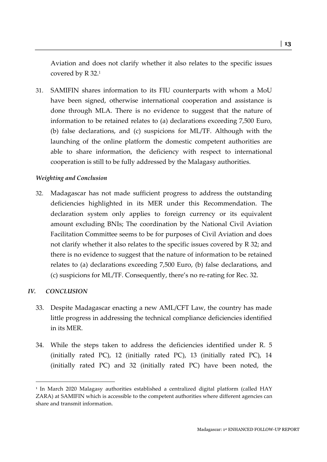Aviation and does not clarify whether it also relates to the specific issues covered by R 32.<sup>1</sup>

31. SAMIFIN shares information to its FIU counterparts with whom a MoU have been signed, otherwise international cooperation and assistance is done through MLA. There is no evidence to suggest that the nature of information to be retained relates to (a) declarations exceeding 7,500 Euro, (b) false declarations, and (c) suspicions for ML/TF. Although with the launching of the online platform the domestic competent authorities are able to share information, the deficiency with respect to international cooperation is still to be fully addressed by the Malagasy authorities.

#### *Weighting and Conclusion*

32. Madagascar has not made sufficient progress to address the outstanding deficiencies highlighted in its MER under this Recommendation. The declaration system only applies to foreign currency or its equivalent amount excluding BNIs; The coordination by the National Civil Aviation Facilitation Committee seems to be for purposes of Civil Aviation and does not clarify whether it also relates to the specific issues covered by R 32; and there is no evidence to suggest that the nature of information to be retained relates to (a) declarations exceeding 7,500 Euro, (b) false declarations, and (c) suspicions for ML/TF. Consequently, there's no re-rating for Rec. 32.

#### *IV. CONCLUSION*

- 33. Despite Madagascar enacting a new AML/CFT Law, the country has made little progress in addressing the technical compliance deficiencies identified in its MER.
- 34. While the steps taken to address the deficiencies identified under R. 5 (initially rated PC), 12 (initially rated PC), 13 (initially rated PC), 14 (initially rated PC) and 32 (initially rated PC) have been noted, the

<sup>1</sup> In March 2020 Malagasy authorities established a centralized digital platform (called HAY ZARA) at SAMIFIN which is accessible to the competent authorities where different agencies can share and transmit information.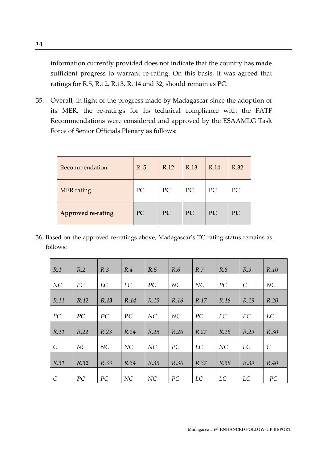information currently provided does not indicate that the country has made sufficient progress to warrant re-rating. On this basis, it was agreed that ratings for R.5, R.12, R.13, R. 14 and 32, should remain as PC.

35. Overall, in light of the progress made by Madagascar since the adoption of its MER, the re-ratings for its technical compliance with the FATF Recommendations were considered and approved by the ESAAMLG Task Force of Senior Officials Plenary as follows:

| Recommendation            | R. 5 | R.12 | R.13 | R.14      | R.32 |
|---------------------------|------|------|------|-----------|------|
| <b>MER</b> rating         | PC   | PC   | PC   | PC        | PC   |
| <b>Approved re-rating</b> | PC   | PC   | PC   | <b>PC</b> | PC   |

36. Based on the approved re-ratings above, Madagascar's TC rating status remains as follows:

| R.1                   | R.2  | R.3  | R.4  | R.5  | R.6  | R.7  | R.8  | R.9           | R.10          |
|-----------------------|------|------|------|------|------|------|------|---------------|---------------|
| NC                    | PC   | LC   | LC   | PC   | NC   | NC   | PC   | $\mathcal{C}$ | NC            |
| R.11                  | R.12 | R.13 | R.14 | R.15 | R.16 | R.17 | R.18 | R.19          | R.20          |
| PC                    | PC   | PC   | PC   | NC   | NC   | PC   | LC   | PC            | LC            |
| R.21                  | R.22 | R.23 | R.24 | R.25 | R.26 | R.27 | R.28 | R.29          | R.30          |
| $\mathcal{C}_{0}^{0}$ | NC   | NC   | NC   | NC   | PC   | LC   | NC   | LC            | $\mathcal{C}$ |
| R.31                  | R.32 | R.33 | R.34 | R.35 | R.36 | R.37 | R.38 | R.39          | R.40          |
| $\mathcal{C}$         | PC   | PC   | NC   | NC   | PC   | LC   | LC   | LC            | PC            |